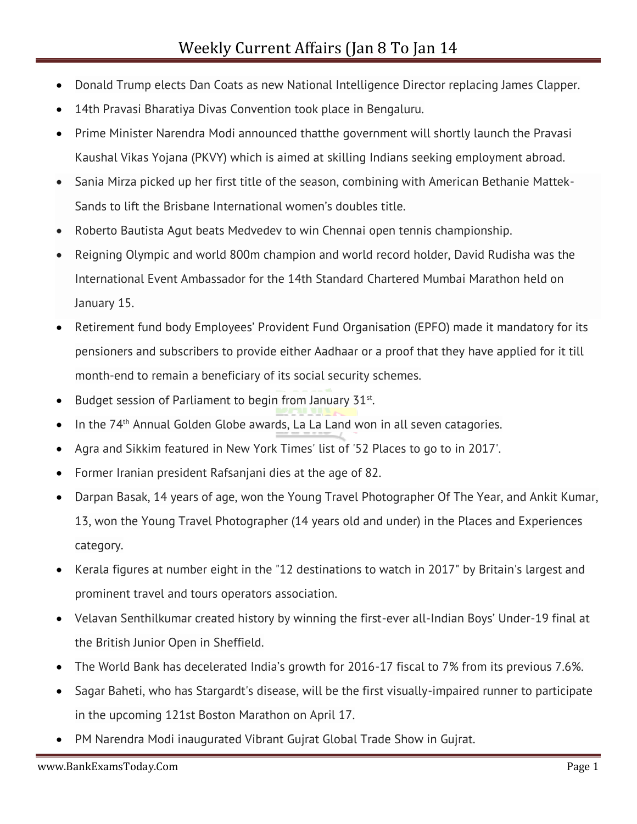- Donald Trump elects Dan Coats as new National Intelligence Director replacing James Clapper.
- 14th Pravasi Bharatiya Divas Convention took place in Bengaluru.
- Prime Minister Narendra Modi announced thatthe government will shortly launch the Pravasi Kaushal Vikas Yojana (PKVY) which is aimed at skilling Indians seeking employment abroad.
- Sania Mirza picked up her first title of the season, combining with American Bethanie Mattek-Sands to lift the Brisbane International women's doubles title.
- Roberto Bautista Agut beats Medvedev to win Chennai open tennis championship.
- Reigning Olympic and world 800m champion and world record holder, David Rudisha was the International Event Ambassador for the 14th Standard Chartered Mumbai Marathon held on January 15.
- Retirement fund body Employees' Provident Fund Organisation (EPFO) made it mandatory for its pensioners and subscribers to provide either Aadhaar or a proof that they have applied for it till month-end to remain a beneficiary of its social security schemes.
- Budget session of Parliament to begin from January  $31^{st}$ .
- In the 74th Annual Golden Globe awards, La La Land won in all seven catagories.
- Agra and Sikkim featured in New York Times' list of '52 Places to go to in 2017'.
- Former Iranian president Rafsanjani dies at the age of 82.
- Darpan Basak, 14 years of age, won the Young Travel Photographer Of The Year, and Ankit Kumar, 13, won the Young Travel Photographer (14 years old and under) in the Places and Experiences category.
- Kerala figures at number eight in the "12 destinations to watch in 2017" by Britain's largest and prominent travel and tours operators association.
- Velavan Senthilkumar created history by winning the first-ever all-Indian Boys' Under-19 final at the British Junior Open in Sheffield.
- The World Bank has decelerated India's growth for 2016-17 fiscal to 7% from its previous 7.6%.
- Sagar Baheti, who has Stargardt's disease, will be the first visually-impaired runner to participate in the upcoming 121st Boston Marathon on April 17.
- PM Narendra Modi inaugurated Vibrant Gujrat Global Trade Show in Gujrat.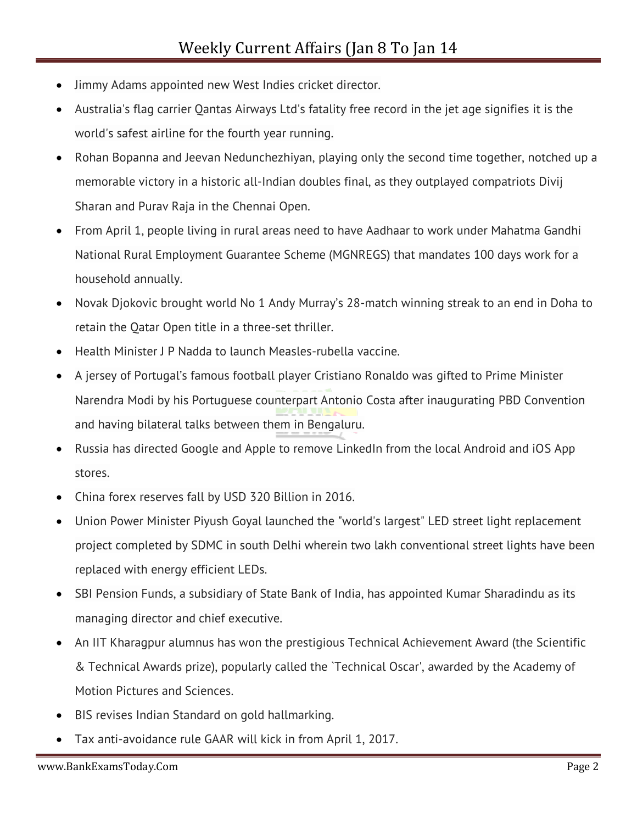- Jimmy Adams appointed new West Indies cricket director.
- Australia's flag carrier Qantas Airways Ltd's fatality free record in the jet age signifies it is the world's safest airline for the fourth year running.
- Rohan Bopanna and Jeevan Nedunchezhiyan, playing only the second time together, notched up a memorable victory in a historic all-Indian doubles final, as they outplayed compatriots Divij Sharan and Purav Raja in the Chennai Open.
- From April 1, people living in rural areas need to have Aadhaar to work under Mahatma Gandhi National Rural Employment Guarantee Scheme (MGNREGS) that mandates 100 days work for a household annually.
- Novak Djokovic brought world No 1 Andy Murray's 28-match winning streak to an end in Doha to retain the Qatar Open title in a three-set thriller.
- Health Minister J P Nadda to launch Measles-rubella vaccine.
- A jersey of Portugal's famous football player Cristiano Ronaldo was gifted to Prime Minister Narendra Modi by his Portuguese counterpart Antonio Costa after inaugurating PBD Convention and having bilateral talks between them in Bengaluru.
- Russia has directed Google and Apple to remove LinkedIn from the local Android and iOS App stores.
- China forex reserves fall by USD 320 Billion in 2016.
- Union Power Minister Piyush Goyal launched the "world's largest" LED street light replacement project completed by SDMC in south Delhi wherein two lakh conventional street lights have been replaced with energy efficient LEDs.
- SBI Pension Funds, a subsidiary of State Bank of India, has appointed Kumar Sharadindu as its managing director and chief executive.
- An IIT Kharagpur alumnus has won the prestigious Technical Achievement Award (the Scientific & Technical Awards prize), popularly called the `Technical Oscar', awarded by the Academy of Motion Pictures and Sciences.
- BIS revises Indian Standard on gold hallmarking.
- Tax anti-avoidance rule GAAR will kick in from April 1, 2017.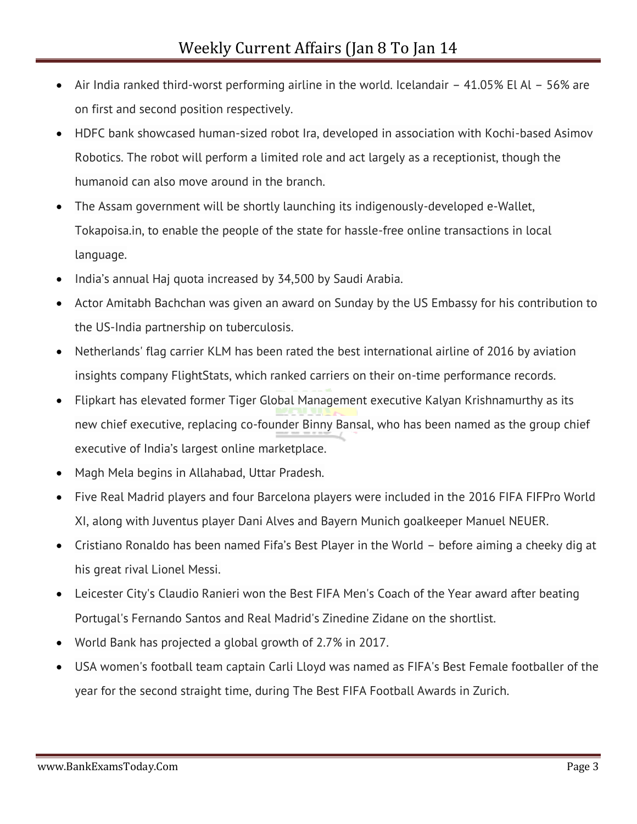- Air India ranked third-worst performing airline in the world. Icelandair 41.05% El Al 56% are on first and second position respectively.
- HDFC bank showcased human-sized robot Ira, developed in association with Kochi-based Asimov Robotics. The robot will perform a limited role and act largely as a receptionist, though the humanoid can also move around in the branch.
- The Assam government will be shortly launching its indigenously-developed e-Wallet, Tokapoisa.in, to enable the people of the state for hassle-free online transactions in local language.
- India's annual Haj quota increased by 34,500 by Saudi Arabia.
- Actor Amitabh Bachchan was given an award on Sunday by the US Embassy for his contribution to the US-India partnership on tuberculosis.
- Netherlands' flag carrier KLM has been rated the best international airline of 2016 by aviation insights company FlightStats, which ranked carriers on their on-time performance records.
- Flipkart has elevated former Tiger Global Management executive Kalyan Krishnamurthy as its new chief executive, replacing co-founder Binny Bansal, who has been named as the group chief executive of India's largest online marketplace.
- Magh Mela begins in Allahabad, Uttar Pradesh.
- Five Real Madrid players and four Barcelona players were included in the 2016 FIFA FIFPro World XI, along with Juventus player Dani Alves and Bayern Munich goalkeeper Manuel NEUER.
- Cristiano Ronaldo has been named Fifa's Best Player in the World before aiming a cheeky dig at his great rival Lionel Messi.
- Leicester City's Claudio Ranieri won the Best FIFA Men's Coach of the Year award after beating Portugal's Fernando Santos and Real Madrid's Zinedine Zidane on the shortlist.
- World Bank has projected a global growth of 2.7% in 2017.
- USA women's football team captain Carli Lloyd was named as FIFA's Best Female footballer of the year for the second straight time, during The Best FIFA Football Awards in Zurich.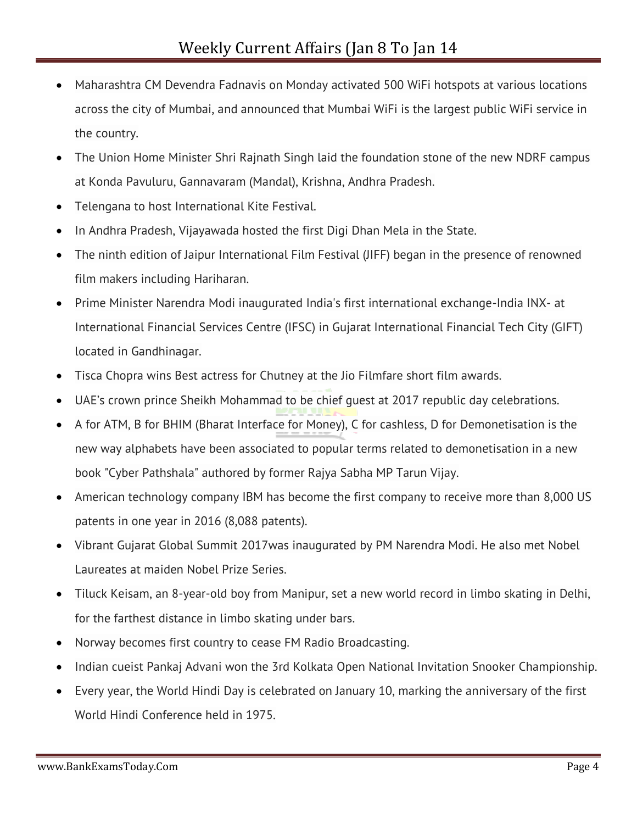- Maharashtra CM Devendra Fadnavis on Monday activated 500 WiFi hotspots at various locations across the city of Mumbai, and announced that Mumbai WiFi is the largest public WiFi service in the country.
- The Union Home Minister Shri Rajnath Singh laid the foundation stone of the new NDRF campus at Konda Pavuluru, Gannavaram (Mandal), Krishna, Andhra Pradesh.
- Telengana to host International Kite Festival.
- In Andhra Pradesh, Vijayawada hosted the first Digi Dhan Mela in the State.
- The ninth edition of Jaipur International Film Festival (JIFF) began in the presence of renowned film makers including Hariharan.
- Prime Minister Narendra Modi inaugurated India's first international exchange-India INX- at International Financial Services Centre (IFSC) in Gujarat International Financial Tech City (GIFT) located in Gandhinagar.
- Tisca Chopra wins Best actress for Chutney at the Jio Filmfare short film awards.
- UAE's crown prince Sheikh Mohammad to be chief guest at 2017 republic day celebrations.
- A for ATM, B for BHIM (Bharat Interface for Money), C for cashless, D for Demonetisation is the new way alphabets have been associated to popular terms related to demonetisation in a new book "Cyber Pathshala" authored by former Rajya Sabha MP Tarun Vijay.
- American technology company IBM has become the first company to receive more than 8,000 US patents in one year in 2016 (8,088 patents).
- Vibrant Gujarat Global Summit 2017was inaugurated by PM Narendra Modi. He also met Nobel Laureates at maiden Nobel Prize Series.
- Tiluck Keisam, an 8-year-old boy from Manipur, set a new world record in limbo skating in Delhi, for the farthest distance in limbo skating under bars.
- Norway becomes first country to cease FM Radio Broadcasting.
- Indian cueist Pankaj Advani won the 3rd Kolkata Open National Invitation Snooker Championship.
- Every year, the World Hindi Day is celebrated on January 10, marking the anniversary of the first World Hindi Conference held in 1975.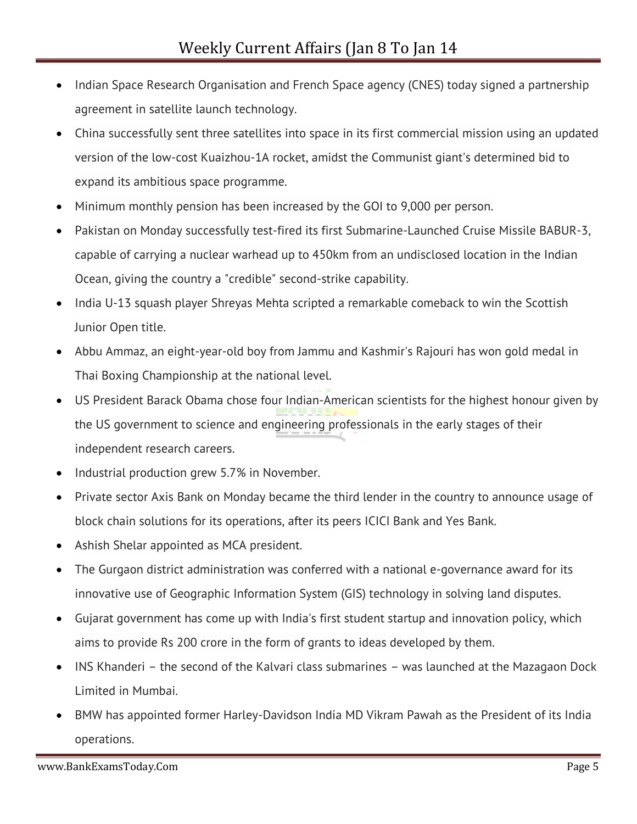- Indian Space Research Organisation and French Space agency (CNES) today signed a partnership agreement in satellite launch technology.
- China successfully sent three satellites into space in its first commercial mission using an updated version of the low-cost Kuaizhou-1A rocket, amidst the Communist giant's determined bid to expand its ambitious space programme.
- Minimum monthly pension has been increased by the GOI to 9,000 per person.
- Pakistan on Monday successfully test-fired its first Submarine-Launched Cruise Missile BABUR-3, capable of carrying a nuclear warhead up to 450km from an undisclosed location in the Indian Ocean, giving the country a "credible" second-strike capability.
- India U-13 squash player Shreyas Mehta scripted a remarkable comeback to win the Scottish Junior Open title.
- Abbu Ammaz, an eight-year-old boy from Jammu and Kashmir's Rajouri has won gold medal in Thai Boxing Championship at the national level.
- US President Barack Obama chose four Indian-American scientists for the highest honour given by the US government to science and engineering professionals in the early stages of their independent research careers.
- Industrial production grew 5.7% in November.
- Private sector Axis Bank on Monday became the third lender in the country to announce usage of block chain solutions for its operations, after its peers ICICI Bank and Yes Bank.
- Ashish Shelar appointed as MCA president.
- The Gurgaon district administration was conferred with a national e-governance award for its innovative use of Geographic Information System (GIS) technology in solving land disputes.
- Gujarat government has come up with India's first student startup and innovation policy, which aims to provide Rs 200 crore in the form of grants to ideas developed by them.
- INS Khanderi the second of the Kalvari class submarines was launched at the Mazagaon Dock Limited in Mumbai.
- BMW has appointed former Harley-Davidson India MD Vikram Pawah as the President of its India operations.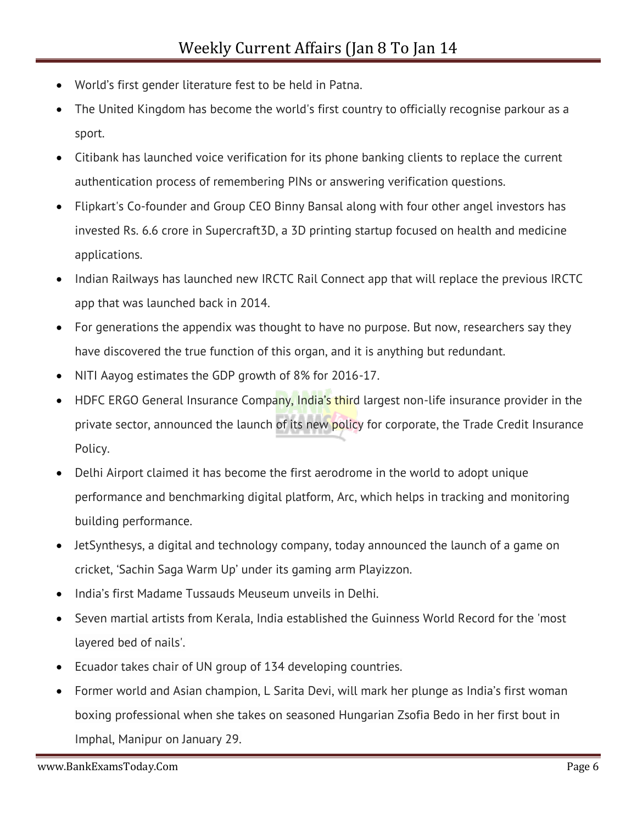- World's first gender literature fest to be held in Patna.
- The United Kingdom has become the world's first country to officially recognise parkour as a sport.
- Citibank has launched voice verification for its phone banking clients to replace the current authentication process of remembering PINs or answering verification questions.
- Flipkart's Co-founder and Group CEO Binny Bansal along with four other angel investors has invested Rs. 6.6 crore in Supercraft3D, a 3D printing startup focused on health and medicine applications.
- Indian Railways has launched new IRCTC Rail Connect app that will replace the previous IRCTC app that was launched back in 2014.
- For generations the appendix was thought to have no purpose. But now, researchers say they have discovered the true function of this organ, and it is anything but redundant.
- NITI Aayog estimates the GDP growth of 8% for 2016-17.
- HDFC ERGO General Insurance Company, India's third largest non-life insurance provider in the private sector, announced the launch of its new policy for corporate, the Trade Credit Insurance Policy.
- Delhi Airport claimed it has become the first aerodrome in the world to adopt unique performance and benchmarking digital platform, Arc, which helps in tracking and monitoring building performance.
- JetSynthesys, a digital and technology company, today announced the launch of a game on cricket, 'Sachin Saga Warm Up' under its gaming arm Playizzon.
- India's first Madame Tussauds Meuseum unveils in Delhi.
- Seven martial artists from Kerala, India established the Guinness World Record for the 'most layered bed of nails'.
- Ecuador takes chair of UN group of 134 developing countries.
- Former world and Asian champion, L Sarita Devi, will mark her plunge as India's first woman boxing professional when she takes on seasoned Hungarian Zsofia Bedo in her first bout in Imphal, Manipur on January 29.